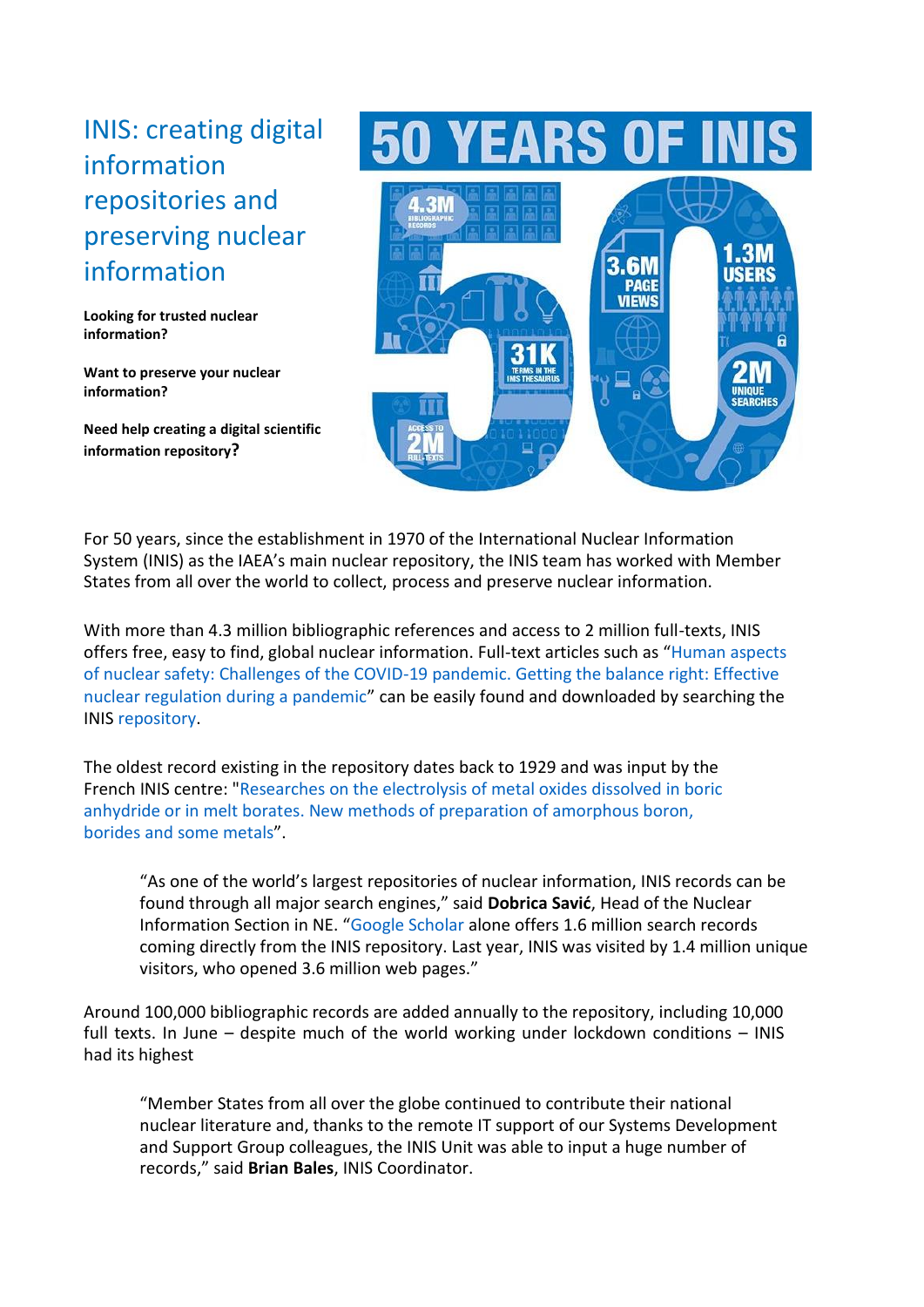## INIS: creating digital information repositories and preserving nuclear information

**Looking for trusted nuclear information?**

**Want to preserve your nuclear information?**

**Need help creating a digital scientific information repository?**

## **EARS OF IN**



For 50 years, since the establishment in 1970 of the International Nuclear Information System (INIS) as the IAEA's main nuclear repository, the INIS team has worked with Member States from all over the world to collect, process and preserve nuclear information.

With more than 4.3 million bibliographic references and access to 2 million full-texts, INIS offers free, easy to find, global nuclear information. Full-text articles such as "[Human aspects](https://inis.iaea.org/search/search.aspx?orig_q=RN:51056951) [of nuclear safety: Challenges of the COVID-19 pandemic. Getting the balance right: Effective](https://inis.iaea.org/search/search.aspx?orig_q=RN:51056951) [nuclear regulation during a pandemic](https://inis.iaea.org/search/search.aspx?orig_q=RN:51056951)" can be easily found and downloaded by searching the INIS [repository.](https://inis.iaea.org/search/)

The oldest record existing in the repository dates back to 1929 and was input by the French INIS centre: ["Researches on the electrolysis of metal oxides dissolved in boric](https://inis.iaea.org/collection/NCLCollectionStore/_Public/44/067/44067381.pdf?r=1) [anhydride or in melt borates. New methods of preparation of amorphous boron,](https://inis.iaea.org/collection/NCLCollectionStore/_Public/44/067/44067381.pdf?r=1)  [borides](https://inis.iaea.org/collection/NCLCollectionStore/_Public/44/067/44067381.pdf?r=1) [and some metals](https://inis.iaea.org/collection/NCLCollectionStore/_Public/44/067/44067381.pdf?r=1)".

"As one of the world's largest repositories of nuclear information, INIS records can be found through all major search engines," said **Dobrica Savić**, Head of the Nuclear Information Section in NE. "[Google Scholar](https://scholar.google.com/scholar?q=site:inis.iaea.org) alone offers 1.6 million search records coming directly from the INIS repository. Last year, INIS was visited by 1.4 million unique visitors, who opened 3.6 million web pages."

Around 100,000 bibliographic records are added annually to the repository, including 10,000 full texts. In June – despite much of the world working under lockdown conditions – INIS had its highest

"Member States from all over the globe continued to contribute their national nuclear literature and, thanks to the remote IT support of our Systems Development and Support Group colleagues, the INIS Unit was able to input a huge number of records," said **Brian Bales**, INIS Coordinator.